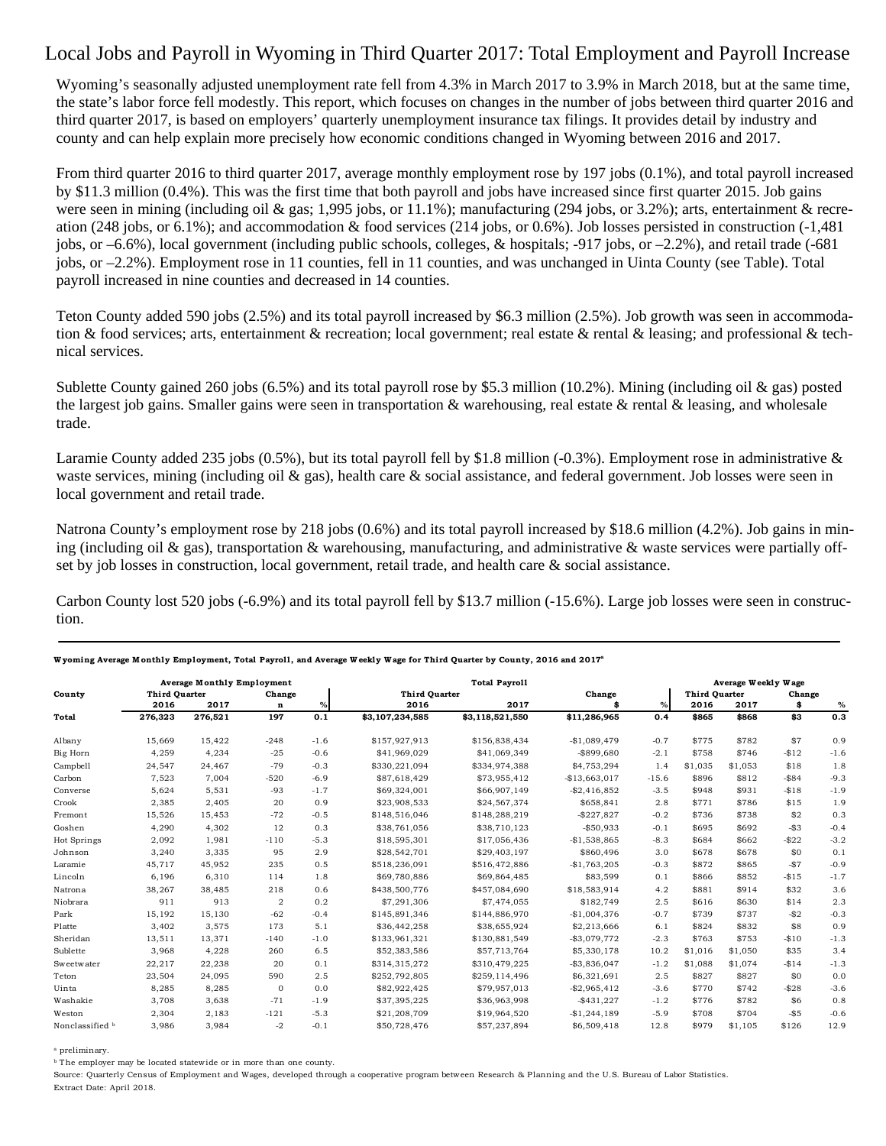## Local Jobs and Payroll in Wyoming in Third Quarter 2017: Total Employment and Payroll Increase

Wyoming's seasonally adjusted unemployment rate fell from 4.3% in March 2017 to 3.9% in March 2018, but at the same time, the state's labor force fell modestly. This report, which focuses on changes in the number of jobs between third quarter 2016 and third quarter 2017, is based on employers' quarterly unemployment insurance tax filings. It provides detail by industry and county and can help explain more precisely how economic conditions changed in Wyoming between 2016 and 2017.

From third quarter 2016 to third quarter 2017, average monthly employment rose by 197 jobs (0.1%), and total payroll increased by \$11.3 million (0.4%). This was the first time that both payroll and jobs have increased since first quarter 2015. Job gains were seen in mining (including oil  $\&$  gas; 1,995 jobs, or 11.1%); manufacturing (294 jobs, or 3.2%); arts, entertainment  $\&$  recreation (248 jobs, or 6.1%); and accommodation & food services (214 jobs, or 0.6%). Job losses persisted in construction (-1,481 jobs, or –6.6%), local government (including public schools, colleges, & hospitals; -917 jobs, or –2.2%), and retail trade (-681 jobs, or –2.2%). Employment rose in 11 counties, fell in 11 counties, and was unchanged in Uinta County (see Table). Total payroll increased in nine counties and decreased in 14 counties.

Teton County added 590 jobs (2.5%) and its total payroll increased by \$6.3 million (2.5%). Job growth was seen in accommodation & food services; arts, entertainment & recreation; local government; real estate & rental & leasing; and professional & technical services.

Sublette County gained 260 jobs (6.5%) and its total payroll rose by \$5.3 million (10.2%). Mining (including oil & gas) posted the largest job gains. Smaller gains were seen in transportation & warehousing, real estate & rental & leasing, and wholesale trade.

Laramie County added 235 jobs (0.5%), but its total payroll fell by \$1.8 million (-0.3%). Employment rose in administrative & waste services, mining (including oil  $\&$  gas), health care  $\&$  social assistance, and federal government. Job losses were seen in local government and retail trade.

Natrona County's employment rose by 218 jobs (0.6%) and its total payroll increased by \$18.6 million (4.2%). Job gains in mining (including oil & gas), transportation & warehousing, manufacturing, and administrative & waste services were partially offset by job losses in construction, local government, retail trade, and health care & social assistance.

Carbon County lost 520 jobs (-6.9%) and its total payroll fell by \$13.7 million (-15.6%). Large job losses were seen in construction.

|                 | <b>Average Monthly Employment</b> |         |              |        | <b>Total Payroll</b> |                 |                |         | Average Weekly Wage  |         |          |        |  |
|-----------------|-----------------------------------|---------|--------------|--------|----------------------|-----------------|----------------|---------|----------------------|---------|----------|--------|--|
| County          | <b>Third Quarter</b>              |         | Change       |        | <b>Third Ouarter</b> |                 | Change         |         | <b>Third Ouarter</b> |         | Change   |        |  |
|                 | 2016                              | 2017    | $\mathbf n$  | $\%$   | 2016                 | 2017            |                | $\%$    | 2016                 | 2017    | \$       | $\%$   |  |
| Total           | 276,323                           | 276,521 | 197          | 0.1    | \$3,107,234,585      | \$3,118,521,550 | \$11,286,965   | 0.4     | \$865                | \$868   | \$3      | 0.3    |  |
| Albany          | 15,669                            | 15,422  | $-248$       | $-1.6$ | \$157,927,913        | \$156,838,434   | $-$1,089,479$  | $-0.7$  | \$775                | \$782   | \$7      | 0.9    |  |
| Big Horn        | 4,259                             | 4,234   | $-25$        | $-0.6$ | \$41,969,029         | \$41.069.349    | $-$ \$899.680  | $-2.1$  | \$758                | \$746   | $-$12$   | $-1.6$ |  |
| Campbell        | 24,547                            | 24.467  | $-79$        | $-0.3$ | \$330.221.094        | \$334.974.388   | \$4,753,294    | 1.4     | \$1,035              | \$1,053 | \$18     | 1.8    |  |
| Carbon          | 7,523                             | 7,004   | $-520$       | $-6.9$ | \$87,618,429         | \$73,955,412    | $-$13,663,017$ | $-15.6$ | \$896                | \$812   | $-$ \$84 | $-9.3$ |  |
| Converse        | 5,624                             | 5,531   | $-93$        | $-1.7$ | \$69,324,001         | \$66,907,149    | $-$2,416,852$  | $-3.5$  | \$948                | \$931   | $-$18$   | $-1.9$ |  |
| Crook           | 2,385                             | 2.405   | 20           | 0.9    | \$23,908,533         | \$24,567,374    | \$658,841      | 2.8     | \$771                | \$786   | \$15     | 1.9    |  |
| Fremont         | 15,526                            | 15.453  | $-72$        | $-0.5$ | \$148,516,046        | \$148,288,219   | $-$227,827$    | $-0.2$  | \$736                | \$738   | \$2      | 0.3    |  |
| Goshen          | 4,290                             | 4,302   | 12           | 0.3    | \$38,761,056         | \$38,710,123    | $-$50,933$     | $-0.1$  | \$695                | \$692   | $-$ \$3  | $-0.4$ |  |
| Hot Springs     | 2,092                             | 1,981   | $-110$       | $-5.3$ | \$18,595,301         | \$17,056,436    | $-$1,538,865$  | $-8.3$  | \$684                | \$662   | $-$ \$22 | $-3.2$ |  |
| Johnson         | 3,240                             | 3,335   | 95           | 2.9    | \$28,542,701         | \$29,403,197    | \$860,496      | 3.0     | \$678                | \$678   | \$0      | 0.1    |  |
| Laramie         | 45.717                            | 45.952  | 235          | 0.5    | \$518,236,091        | \$516.472.886   | $-$1.763.205$  | $-0.3$  | \$872                | \$865   | $-$7$    | $-0.9$ |  |
| Lincoln         | 6,196                             | 6,310   | 114          | 1.8    | \$69,780,886         | \$69,864,485    | \$83,599       | 0.1     | \$866                | \$852   | $-$15$   | $-1.7$ |  |
| Natrona         | 38,267                            | 38.485  | 218          | 0.6    | \$438,500,776        | \$457,084,690   | \$18,583,914   | 4.2     | \$881                | \$914   | \$32     | 3.6    |  |
| Niobrara        | 911                               | 913     | 2            | 0.2    | \$7,291,306          | \$7,474,055     | \$182,749      | 2.5     | \$616                | \$630   | \$14     | 2.3    |  |
| Park            | 15,192                            | 15,130  | $-62$        | $-0.4$ | \$145,891,346        | \$144,886,970   | $-$1,004,376$  | $-0.7$  | \$739                | \$737   | $-$ \$2  | $-0.3$ |  |
| Platte          | 3.402                             | 3,575   | 173          | 5.1    | \$36,442,258         | \$38.655.924    | \$2,213,666    | 6.1     | \$824                | \$832   | \$8      | 0.9    |  |
| Sheridan        | 13,511                            | 13,371  | $-140$       | $-1.0$ | \$133,961,321        | \$130,881,549   | $-$3,079,772$  | $-2.3$  | \$763                | \$753   | $-$10$   | $-1.3$ |  |
| Sublette        | 3,968                             | 4,228   | 260          | 6.5    | \$52,383,586         | \$57,713,764    | \$5,330,178    | 10.2    | \$1,016              | \$1,050 | \$35     | 3.4    |  |
| Sweetwater      | 22,217                            | 22,238  | 20           | 0.1    | \$314,315,272        | \$310,479,225   | $-$3,836,047$  | $-1.2$  | \$1,088              | \$1,074 | $-$14$   | $-1.3$ |  |
| Teton           | 23,504                            | 24,095  | 590          | 2.5    | \$252,792,805        | \$259,114,496   | \$6,321,691    | 2.5     | \$827                | \$827   | \$0      | 0.0    |  |
| Uinta           | 8,285                             | 8,285   | $\mathbf{0}$ | 0.0    | \$82,922,425         | \$79,957,013    | $-$2,965,412$  | $-3.6$  | \$770                | \$742   | $-$28$   | $-3.6$ |  |
| Washakie        | 3,708                             | 3,638   | $-71$        | $-1.9$ | \$37,395,225         | \$36,963,998    | $-$ \$431,227  | $-1.2$  | \$776                | \$782   | \$6      | 0.8    |  |
| Weston          | 2.304                             | 2,183   | $-121$       | $-5.3$ | \$21,208,709         | \$19.964.520    | $-$1,244,189$  | $-5.9$  | \$708                | \$704   | $-$ \$5  | $-0.6$ |  |
| Nonclassified b | 3,986                             | 3,984   | $-2$         | $-0.1$ | \$50,728,476         | \$57,237,894    | \$6,509,418    | 12.8    | \$979                | \$1,105 | \$126    | 12.9   |  |

## W yoming Average M onthly Employment, Total Payroll, and Average W eekly W age for Third Quarter by County, 2016 and 2017<sup>a</sup>

a preliminary.

 $<sup>b</sup>$  The employer may be located statewide or in more than one county.</sup>

Source: Quarterly Census of Employment and Wages, developed through a cooperative program between Research & Planning and the U.S. Bureau of Labor Statistics. Extract Date: April 2018.